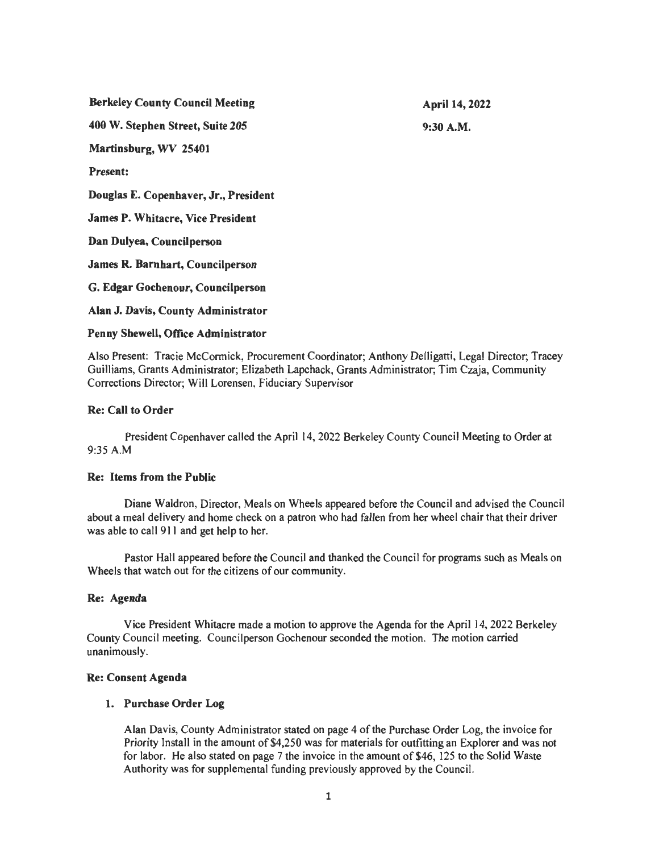| <b>Berkeley County Council Meeting</b>   | April 14, 2022 |
|------------------------------------------|----------------|
| 400 W. Stephen Street, Suite 205         | $9:30$ A.M.    |
| Martinsburg, WV 25401                    |                |
| <b>Present:</b>                          |                |
| Douglas E. Copenhaver, Jr., President    |                |
| <b>James P. Whitacre, Vice President</b> |                |
| Dan Dulyea, Councilperson                |                |
| <b>James R. Barnhart, Councilperson</b>  |                |
| G. Edgar Gochenour, Councilperson        |                |
| Alan J. Davis, County Administrator      |                |

#### Penny Shewell, Office Administrator

Also Present: Tracie McCormick, Procurement Coordinator; Anthony Delligatti, Legal Director; Tracey Guilliams, Grants Administrator; Elizabeth Lapchack, Grants Administrator; Tim Czaja, Community Corrections Director; Will Lorensen, Fiduciary Supervisor

### Re: Call to Order

President Copenhaver called the April 14, 2022 Berkeley County Council Meeting to Order at 9:35 A.M

### Re: Items from the Public

Diane Waldron, Director, Meals on Wheels appeared before the Council and advised the Council about a meal delivery and home check on a patron who had fallen from her wheel chair that their driver was able to call 911 and get help to her.

Pastor Hall appeared before the Council and thanked the Council for programs such as Meals on Wheels that watch out for the citizens of our community.

#### Re: Agenda

Vice President Whitacre made a motion to approve the Agenda for the April 14, 2022 Berkeley County Council meeting. Councilperson Gochenour seconded the motion. The motion carried unanimously.

#### Re: Consent Agenda

#### 1. Purchase Order Log

Alan Davis, County Administrator stated on page 4 of the Purchase Order Log, the invoice for Priority Install in the amount of \$4,250 was for materials for outfitting an Explorer and was not for labor. He also stated on page 7 the invoice in the amount of \$46, 125 to the Solid Waste Authority was for supplemental funding previously approved by the Council.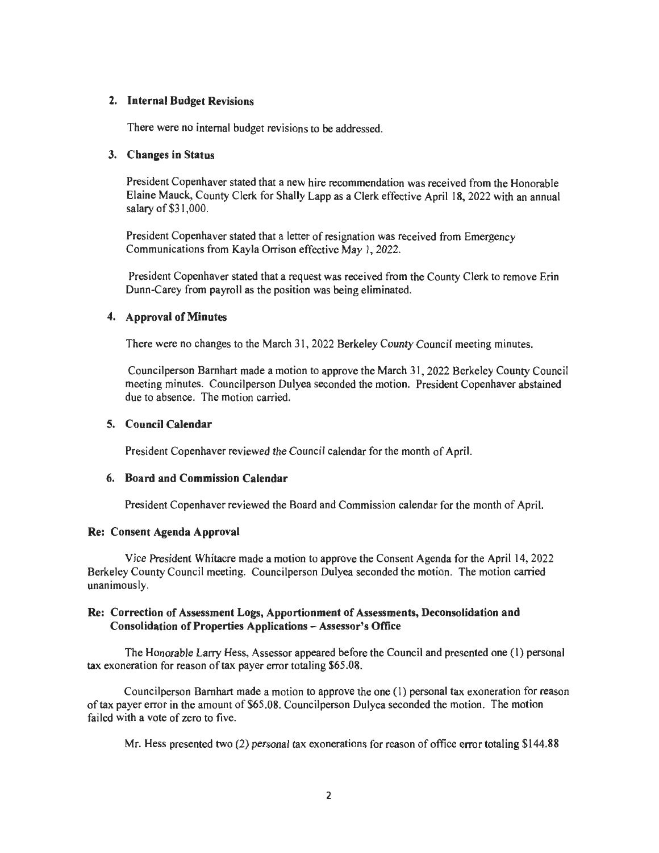## 2. Internal Budget Revisions

There were no internal budget revisions to be addressed.

## 3. Changes in Status

President Copenhaver stated that a new hire recommendation was received from the Honorable Elaine Mauck, County Clerk for Shally Lapp as a Clerk effective April 18, 2022 with an annual salary of \$31,000.

President Copenhaver stated that a letter of resignation was received from Emergency Communications from Kayla Orrison effective May 1, 2022.

President Copenhaver stated that a request was received from the County Clerk to remove Erin Dunn-Carey from payroll as the position was being eliminated.

## 4. Approval of Minutes

There were no changes to the March 31, 2022 Berkeley County Council meeting minutes.

Councilperson Barnhart made a motion to approve the March 31 , 2022 Berkeley County Council meeting minutes. Councilperson Dulyea seconded the motion. President Copenhaver abstained due to absence. The motion carried.

### 5. Council Calendar

President Copenhaver reviewed the Council calendar for the month of April.

### 6. Board and Commission Calendar

President Copenhaver reviewed the Board and Commission calendar for the month of April.

### Re: Consent Agenda Approval

Vice President Whitacre made a motion to approve the Consent Agenda for the April 14, 2022 Berkeley County Council meeting. Councilperson Dulyea seconded the motion. The motion carried unanimously.

## Re: Correction of Assessment Logs, Apportionment of Assessments, Deconsolidation and Consolidation of Properties Applications - Assessor's Office

The Honorable Larry Hess, Assessor appeared before the Council and presented one (l) personal tax exoneration for reason of tax payer error totaling \$65 .08.

Councilperson Barnhart made a motion to approve the one ( 1) personal tax exoneration for reason of tax payer error in the amount of \$65.08. Councilperson Dulyea seconded the motion. The motion failed with a vote of zero to five.

Mr. Hess presented two (2) personal tax exonerations for reason of office error totaling \$144.88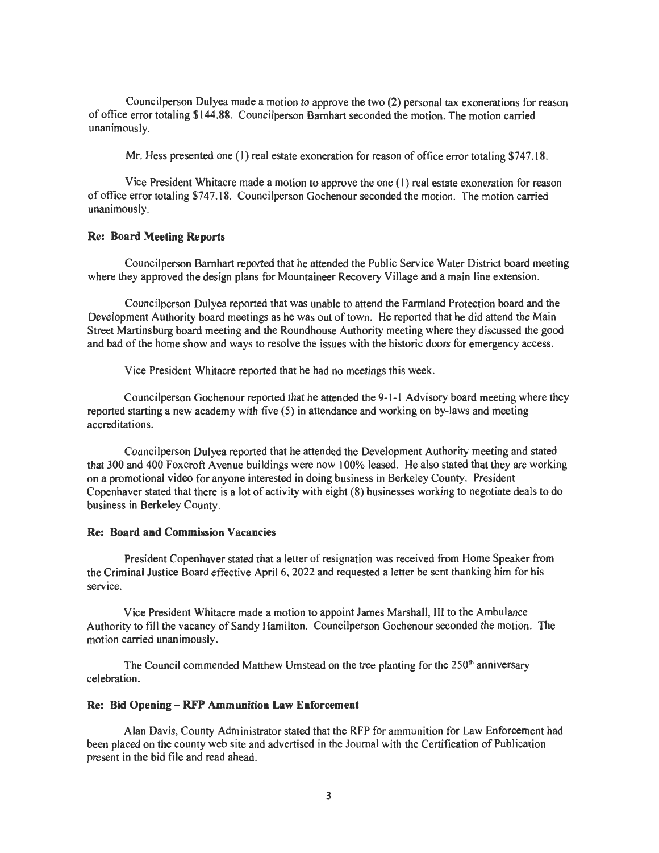Councilperson Dulyea made a motion to approve the two (2) personal tax exonerations for reason of office error totaling \$144.88. Councilperson Barnhart seconded the motion. The motion carried unanimously.

Mr. Hess presented one (1) real estate exoneration for reason of office error totaling \$747.18.

Vice President Whitacre made a motion to approve the one (I) real estate exoneration for reason of office error totaling \$74 7.18. Councilperson Gochenour seconded the motion. The motion carried unanimously.

#### Re: Board Meeting Reports

Councilperson Barnhart reported that he attended the Public Service Water District board meeting where they approved the design plans for Mountaineer Recovery Village and a main line extension.

Councilperson Dulyea reported that was unable to attend the Farmland Protection board and the Development Authority board meetings as he was out of town. He reported that he did attend the Main Street Martinsburg board meeting and the Roundhouse Authority meeting where they discussed the good and bad of the home show and ways to resolve the issues with the historic doors for emergency access.

Vice President Whitacre reported that he had no meetings this week.

Councilperson Gochenour reported that he attended the 9-1-1 Advisory board meeting where they reported starting a new academy with five (5) in attendance and working on by-laws and meeting accreditations.

Councilperson Dulyea reported that he attended the Development Authority meeting and stated that 300 and 400 Foxcroft Avenue buildings were now 100% leased. He also stated that they are working on a promotional video for anyone interested in doing business in Berkeley County. President Copenhaver stated that there is a lot of activity with eight (8) businesses working to negotiate deals to do business in Berkeley County.

#### Re: Board and Commission Vacancies

President Copenhaver stated that a letter of resignation was received from Home Speaker from the Criminal Justice Board effective April 6, 2022 and requested a letter be sent thanking him for his service.

Vice President Whitacre made a motion to appoint James Marshall, III to the Ambulance Authority to fill the vacancy of Sandy Hamilton. Councilperson Gochenour seconded the motion. The motion carried unanimously.

The Council commended Matthew Umstead on the tree planting for the  $250<sup>th</sup>$  anniversary celebration.

## Re: Bid Opening - RFP Ammunition Law Enforcement

Alan Davis, County Administrator stated that the RFP for ammunition for Law Enforcement had been placed on the county web site and advertised in the Journal with the Certification of Publication present in the bid file and read ahead.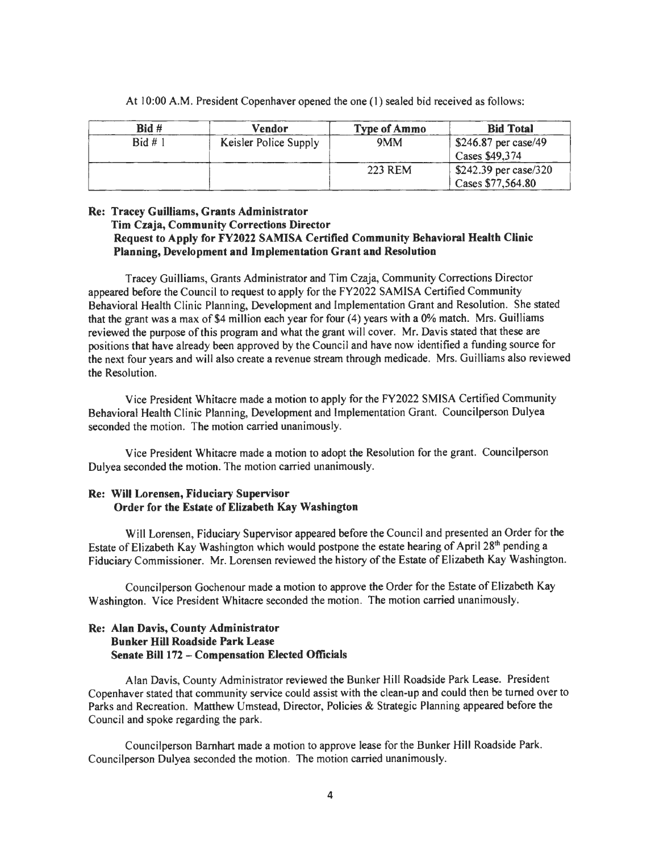#### At 10:00 A.M. President Copenhaver opened the one (1) sealed bid received as follows:

| Bid #     | Vendor                | <b>Type of Ammo</b> | <b>Bid Total</b>                            |
|-----------|-----------------------|---------------------|---------------------------------------------|
| Bid $# 1$ | Keisler Police Supply | 9MM                 | $$246.87$ per case/49<br>Cases \$49,374     |
|           |                       | 223 REM             | $$242.39$ per case/320<br>Cases \$77,564.80 |

#### Re: Tracey Guilliams, Grants Administrator

# Tim Czaja, Community Corrections Director Request to Apply for FY2022 SAMISA Certified Community Behavioral Health Clinic Planning, Development and Implementation Grant and Resolution

Tracey Guilliams, Grants Administrator and Tim Czaja, Community Corrections Director appeared before the Council to request to apply for the FY2022 SAMISA Certified Community Behavioral Health Clinic Planning, Development and Implementation Grant and Resolution. She stated that the grant was a max of \$4 million each year for four (4) years with a 0% match. Mrs. Guilliams reviewed the purpose of this program and what the grant will cover. Mr. Davis stated that these are positions that have already been approved by the Council and have now identified a funding source for the next four years and will also create a revenue stream through medicade. Mrs. Guilliams also reviewed the Resolution.

Vice President Whitacre made a motion to apply for the FY2022 SMISA Certified Community Behavioral Health Clinic Planning, Development and Implementation Grant. Councilperson Dulyea seconded the motion. The motion carried unanimously.

Vice President Whitacre made a motion to adopt the Resolution for the grant. Councilperson Dulyea seconded the motion. The motion carried unanimously.

### Re: Will Lorensen, Fiduciary Supervisor Order for the Estate of Elizabeth Kay Washington

Will Lorensen, Fiduciary Supervisor appeared before the Council and presented an Order for the Estate of Elizabeth Kay Washington which would postpone the estate hearing of April 28<sup>th</sup> pending a Fiduciary Commissioner. Mr. Lorensen reviewed the history of the Estate of Elizabeth Kay Washington.

Councilperson Gochenour made a motion to approve the Order for the Estate of Elizabeth Kay Washington. Vice President Whitacre seconded the motion. The motion carried unanimously.

# Re: Alan Davis, County Administrator Bunker Hill Roadside Park Lease Senate Bill 172 - Compensation Elected Officials

Alan Davis, County Administrator reviewed the Bunker Hill Roadside Park Lease. President Copenhaver stated that community service could assist with the clean-up and could then be turned over to Parks and Recreation. Matthew Umstead, Director, Policies & Strategic Planning appeared before the Council and spoke regarding the park.

Councilperson Barnhart made a motion to approve lease for the Bunker Hill Roadside Park. Councilperson Dulyea seconded the motion. The motion carried unanimously.